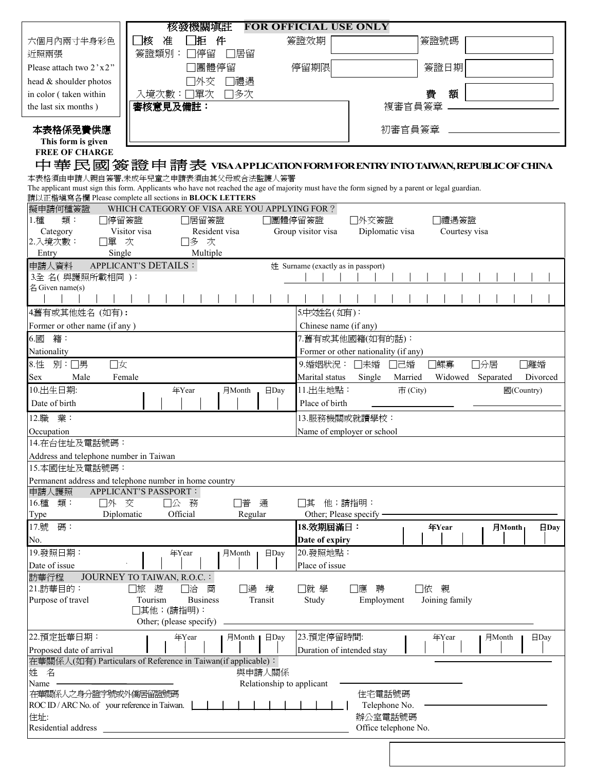|                                                                      | 核發機關塡註                                                                 | <b>FOR OFFICIAL USE ONLY</b>                                                                                                                    |
|----------------------------------------------------------------------|------------------------------------------------------------------------|-------------------------------------------------------------------------------------------------------------------------------------------------|
| 六個月內兩寸半身彩色                                                           | ̄核<br>准<br>搄                                                           | 簽證效期<br>簽證號碼                                                                                                                                    |
| 近照兩張                                                                 | 簽證類別:<br>]停留<br>]居留                                                    |                                                                                                                                                 |
| Please attach two 2'x2"                                              | 團體停留                                                                   | 停留期限<br>簽證日期                                                                                                                                    |
| head & shoulder photos                                               | 外交<br>禮遇                                                               |                                                                                                                                                 |
| in color (taken within                                               | 單次<br>□多次<br>入境次數:                                                     | 額<br>費                                                                                                                                          |
| the last six months)                                                 | 審核意見及備註:                                                               | 複審官員簽章                                                                                                                                          |
|                                                                      |                                                                        |                                                                                                                                                 |
| 本表格係免費供應                                                             |                                                                        | 初審官員簽章                                                                                                                                          |
| This form is given<br><b>FREE OF CHARGE</b>                          |                                                                        |                                                                                                                                                 |
|                                                                      |                                                                        | 中華民國簽證申請表 VISAAPPLICATIONFORMFORENTRY INTO TAIWAN,REPUBLICOF CHINA                                                                              |
|                                                                      | 本表格須由申請人親自簽署,未成年兒童之申請表須由其父母或合法監護人簽署                                    |                                                                                                                                                 |
|                                                                      |                                                                        | The applicant must sign this form. Applicants who have not reached the age of majority must have the form signed by a parent or legal guardian. |
|                                                                      | 請以正楷填寫各欄 Please complete all sections in BLOCK LETTERS                 |                                                                                                                                                 |
| 擬申請何種簽證<br>1.種<br>類:                                                 | WHICH CATEGORY OF VISA ARE YOU APPLYING FOR ?                          |                                                                                                                                                 |
| □停留簽證<br>Category                                                    | 居留簽證<br>Visitor visa<br>Resident visa                                  | 團體停留簽證<br>□外交簽證<br>]禮遇簽證<br>Group visitor visa<br>Diplomatic visa<br>Courtesy visa                                                              |
| 2.入境次數:<br>口單 次                                                      | □多 次                                                                   |                                                                                                                                                 |
| Single<br>Entry                                                      | Multiple                                                               |                                                                                                                                                 |
| 申請人資料                                                                | <b>APPLICANT'S DETAILS :</b>                                           | 姓 Surname (exactly as in passport)                                                                                                              |
| 3全名(與護照所載相同):<br>名 Given name(s)                                     |                                                                        |                                                                                                                                                 |
|                                                                      |                                                                        |                                                                                                                                                 |
| 4舊有或其他姓名 (如有):                                                       |                                                                        | 5.中文姓名(如有):                                                                                                                                     |
| Former or other name (if any)                                        |                                                                        | Chinese name (if any)                                                                                                                           |
| $6.$ 國<br>籍:                                                         |                                                                        | 7.舊有或其他國籍(如有的話):                                                                                                                                |
| Nationality                                                          |                                                                        | Former or other nationality (if any)                                                                                                            |
| 別:□男<br>口女<br>8.性                                                    |                                                                        | 9.婚姻狀況: □未婚<br>□鰥寡<br>□離婚<br>□己婚<br>□分居                                                                                                         |
| Male<br>Sex                                                          | Female                                                                 | Marital status<br>Single<br>Married<br>Widowed<br>Separated<br>Divorced                                                                         |
| 10.出生日期:                                                             | 年Year<br>$\Box$ Day<br>月Month                                          | 11.出生地點:<br>市(City)<br>國(Country)                                                                                                               |
| Date of birth                                                        |                                                                        | Place of birth                                                                                                                                  |
| 12.職<br>業:                                                           |                                                                        | 13.服務機關或就讀學校:                                                                                                                                   |
| Occupation                                                           |                                                                        | Name of employer or school                                                                                                                      |
| 14.在台住址及電話號碼:                                                        |                                                                        |                                                                                                                                                 |
| Address and telephone number in Taiwan                               |                                                                        |                                                                                                                                                 |
| 15.本國住址及電話號碼:                                                        |                                                                        |                                                                                                                                                 |
|                                                                      | Permanent address and telephone number in home country                 |                                                                                                                                                 |
| 申請人護照<br>16.種 類:<br>口外 交                                             | APPLICANT'S PASSPORT :<br>□公 務<br>□普<br>通                              | 他;請指明:<br>其                                                                                                                                     |
| Type                                                                 | Diplomatic<br>Official<br>Regular                                      | Other; Please specify -                                                                                                                         |
| 17.號<br>碼:                                                           |                                                                        | 18.效期屆滿日:<br>年Year<br>月Month <sub>1</sub><br><b>日Day</b>                                                                                        |
| No.                                                                  |                                                                        | Date of expiry                                                                                                                                  |
| 19.發照日期:                                                             | 年Year<br>月Month<br>⊟Day                                                | 20.發照地點:                                                                                                                                        |
| Date of issue                                                        |                                                                        | Place of issue                                                                                                                                  |
| 訪華行程                                                                 | JOURNEY TO TAIWAN, R.O.C. :                                            |                                                                                                                                                 |
| 21.訪華目的:<br>Purpose of travel                                        | □過<br>遊<br>□洽<br>商<br>境<br>口旅<br>Tourism<br><b>Business</b><br>Transit | 口依親<br>□就 學<br>□應<br>聘<br>Study<br>Employment<br>Joining family                                                                                 |
|                                                                      | □其他;(請指明):                                                             |                                                                                                                                                 |
|                                                                      | Other; (please specify)                                                |                                                                                                                                                 |
| 22.預定抵華日期:                                                           | 月Month   日Day<br>年Year                                                 | 23.預定停留時間:<br>年Year<br>月Month<br>$\Box$ Day                                                                                                     |
| Proposed date of arrival                                             |                                                                        | Duration of intended stay                                                                                                                       |
|                                                                      | 在華關係人(如有) Particulars of Reference in Taiwan(if applicable):           |                                                                                                                                                 |
| 姓 名                                                                  | 與申請人關係                                                                 |                                                                                                                                                 |
| Name                                                                 | Relationship to applicant                                              |                                                                                                                                                 |
| 在華關係人之身分證字號或外僑居留證號碼<br>ROC ID / ARC No. of your reference in Taiwan. |                                                                        | 住宅電話號碼<br>Telephone No.                                                                                                                         |
| 住址:                                                                  |                                                                        | 辦公室電話號碼                                                                                                                                         |
| Residential address                                                  |                                                                        | Office telephone No.                                                                                                                            |
|                                                                      |                                                                        |                                                                                                                                                 |
|                                                                      |                                                                        |                                                                                                                                                 |